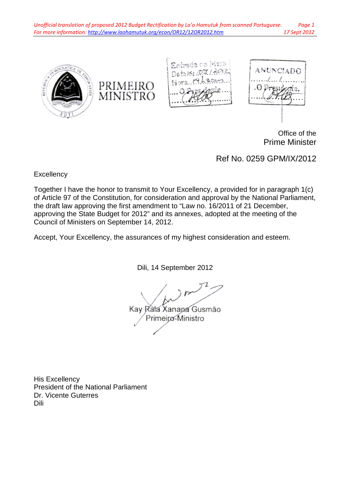*Unofficial translation of proposed 2012 Budget Rectification by La'o Hamutuk from scanned Portuguese. Page 1 For more information: http://www.laohamutuk.org/econ/OR12/12OR2012.htm 17 Sept 2012* 



Office of the Prime Minister

Ref No. 0259 GPM/IX/2012

**Excellency** 

Together I have the honor to transmit to Your Excellency, a provided for in paragraph 1(c) of Article 97 of the Constitution, for consideration and approval by the National Parliament, the draft law approving the first amendment to "Law no. 16/2011 of 21 December, approving the State Budget for 2012" and its annexes, adopted at the meeting of the Council of Ministers on September 14, 2012.

Accept, Your Excellency, the assurances of my highest consideration and esteem.

Dili, 14 September 2012

Kay Rala Xanana Gusmão Primeiro-Ministro

His Excellency President of the National Parliament Dr. Vicente Guterres Dili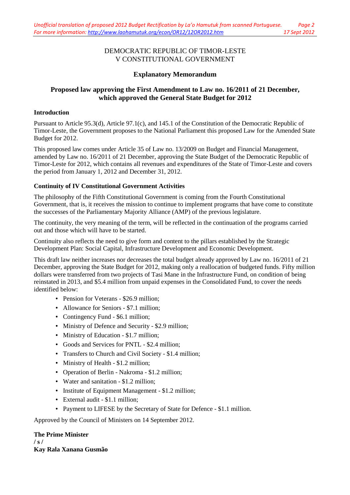## DEMOCRATIC REPUBLIC OF TIMOR-LESTE V CONSTITUTIONAL GOVERNMENT

## **Explanatory Memorandum**

# **Proposed law approving the First Amendment to Law no. 16/2011 of 21 December, which approved the General State Budget for 2012**

#### **Introduction**

Pursuant to Article 95.3(d), Article 97.1(c), and 145.1 of the Constitution of the Democratic Republic of Timor-Leste, the Government proposes to the National Parliament this proposed Law for the Amended State Budget for 2012.

This proposed law comes under Article 35 of Law no. 13/2009 on Budget and Financial Management, amended by Law no. 16/2011 of 21 December, approving the State Budget of the Democratic Republic of Timor-Leste for 2012, which contains all revenues and expenditures of the State of Timor-Leste and covers the period from January 1, 2012 and December 31, 2012.

#### **Continuity of IV Constitutional Government Activities**

The philosophy of the Fifth Constitutional Government is coming from the Fourth Constitutional Government, that is, it receives the mission to continue to implement programs that have come to constitute the successes of the Parliamentary Majority Alliance (AMP) of the previous legislature.

The continuity, the very meaning of the term, will be reflected in the continuation of the programs carried out and those which will have to be started.

Continuity also reflects the need to give form and content to the pillars established by the Strategic Development Plan: Social Capital, Infrastructure Development and Economic Development.

This draft law neither increases nor decreases the total budget already approved by Law no. 16/2011 of 21 December, approving the State Budget for 2012, making only a reallocation of budgeted funds. Fifty million dollars were transferred from two projects of Tasi Mane in the Infrastructure Fund, on condition of being reinstated in 2013, and \$5.4 million from unpaid expenses in the Consolidated Fund, to cover the needs identified below:

- Pension for Veterans \$26.9 million;
- Allowance for Seniors \$7.1 million;
- Contingency Fund \$6.1 million;
- Ministry of Defence and Security \$2.9 million;
- Ministry of Education \$1.7 million;
- Goods and Services for PNTL \$2.4 million:
- Transfers to Church and Civil Society \$1.4 million;
- Ministry of Health \$1.2 million;
- Operation of Berlin Nakroma \$1.2 million;
- Water and sanitation \$1.2 million;
- Institute of Equipment Management \$1.2 million;
- External audit \$1.1 million;
- Payment to LIFESE by the Secretary of State for Defence \$1.1 million.

Approved by the Council of Ministers on 14 September 2012.

**The Prime Minister / s / Kay Rala Xanana Gusmão**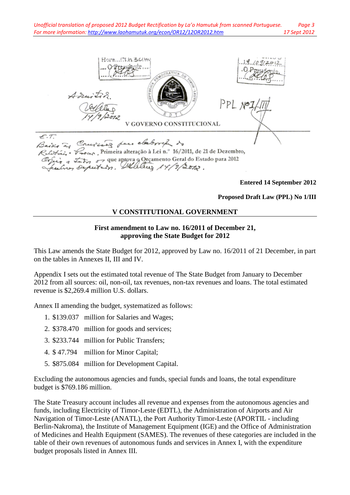

#### **Entered 14 September 2012**

#### **Proposed Draft Law (PPL) No 1/III**

#### **V CONSTITUTIONAL GOVERNMENT**

#### **First amendment to Law no. 16/2011 of December 21, approving the State Budget for 2012**

This Law amends the State Budget for 2012, approved by Law no. 16/2011 of 21 December, in part on the tables in Annexes II, III and IV.

Appendix I sets out the estimated total revenue of The State Budget from January to December 2012 from all sources: oil, non-oil, tax revenues, non-tax revenues and loans. The total estimated revenue is \$2,269.4 million U.S. dollars.

Annex II amending the budget, systematized as follows:

- 1. \$139.037 million for Salaries and Wages;
- 2. \$378.470 million for goods and services;
- 3. \$233.744 million for Public Transfers;
- 4. \$ 47.794 million for Minor Capital;
- 5. \$875.084 million for Development Capital.

Excluding the autonomous agencies and funds, special funds and loans, the total expenditure budget is \$769.186 million.

The State Treasury account includes all revenue and expenses from the autonomous agencies and funds, including Electricity of Timor-Leste (EDTL), the Administration of Airports and Air Navigation of Timor-Leste (ANATL), the Port Authority Timor-Leste (APORTIL - including Berlin-Nakroma), the Institute of Management Equipment (IGE) and the Office of Administration of Medicines and Health Equipment (SAMES). The revenues of these categories are included in the table of their own revenues of autonomous funds and services in Annex I, with the expenditure budget proposals listed in Annex III.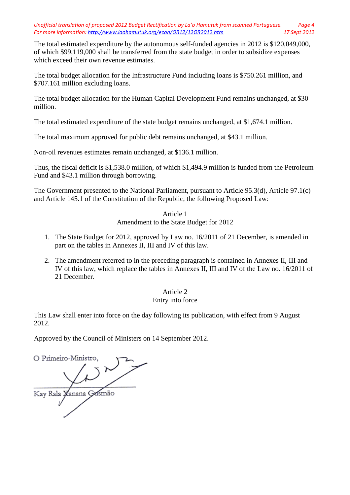*Unofficial translation of proposed 2012 Budget Rectification by La'o Hamutuk from scanned Portuguese. Page 4 For more information: http://www.laohamutuk.org/econ/OR12/12OR2012.htm 17 Sept 2012* 

The total estimated expenditure by the autonomous self-funded agencies in 2012 is \$120,049,000, of which \$99,119,000 shall be transferred from the state budget in order to subsidize expenses which exceed their own revenue estimates.

The total budget allocation for the Infrastructure Fund including loans is \$750.261 million, and \$707.161 million excluding loans.

The total budget allocation for the Human Capital Development Fund remains unchanged, at \$30 million.

The total estimated expenditure of the state budget remains unchanged, at \$1,674.1 million.

The total maximum approved for public debt remains unchanged, at \$43.1 million.

Non-oil revenues estimates remain unchanged, at \$136.1 million.

Thus, the fiscal deficit is \$1,538.0 million, of which \$1,494.9 million is funded from the Petroleum Fund and \$43.1 million through borrowing.

The Government presented to the National Parliament, pursuant to Article 95.3(d), Article 97.1(c) and Article 145.1 of the Constitution of the Republic, the following Proposed Law:

> Article 1 Amendment to the State Budget for 2012

- 1. The State Budget for 2012, approved by Law no. 16/2011 of 21 December, is amended in part on the tables in Annexes II, III and IV of this law.
- 2. The amendment referred to in the preceding paragraph is contained in Annexes II, III and IV of this law, which replace the tables in Annexes II, III and IV of the Law no. 16/2011 of 21 December.

# Article 2 Entry into force

This Law shall enter into force on the day following its publication, with effect from 9 August 2012.

Approved by the Council of Ministers on 14 September 2012.

O Primeiro-Ministro. Kay Rala Xanana Gusmão